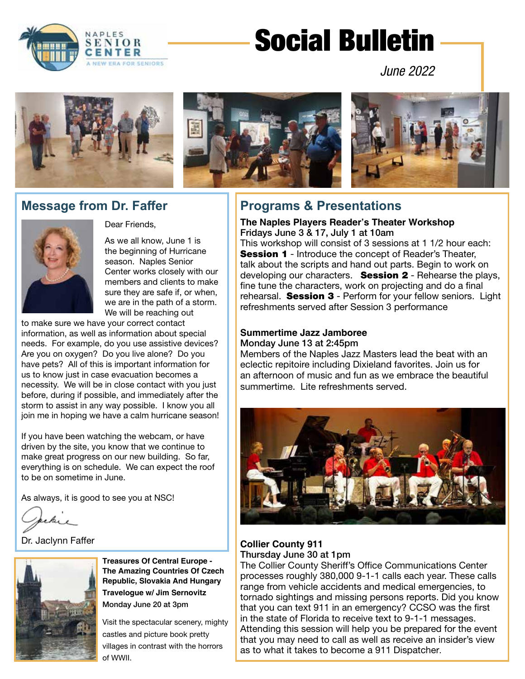

# Social Bulletin

*June 2022*



## **Message from Dr. Faffer**



Dear Friends,

As we all know, June 1 is the beginning of Hurricane season. Naples Senior Center works closely with our members and clients to make sure they are safe if, or when, we are in the path of a storm. We will be reaching out

to make sure we have your correct contact information, as well as information about special needs. For example, do you use assistive devices? Are you on oxygen? Do you live alone? Do you have pets? All of this is important information for us to know just in case evacuation becomes a necessity. We will be in close contact with you just before, during if possible, and immediately after the storm to assist in any way possible. I know you all join me in hoping we have a calm hurricane season!

If you have been watching the webcam, or have driven by the site, you know that we continue to make great progress on our new building. So far, everything is on schedule. We can expect the roof to be on sometime in June.

As always, it is good to see you at NSC!

Dr. Jaclynn Faffer



**Treasures Of Central Europe - The Amazing Countries Of Czech Republic, Slovakia And Hungary Travelogue w/ Jim Sernovitz** Monday June 20 at 3pm

Visit the spectacular scenery, mighty castles and picture book pretty villages in contrast with the horrors of WWII.

## **Programs & Presentations**

**The Naples Players Reader's Theater Workshop** Fridays June 3 & 17, July 1 at 10am

This workshop will consist of 3 sessions at 1 1/2 hour each: **Session 1** - Introduce the concept of Reader's Theater, talk about the scripts and hand out parts. Begin to work on developing our characters. **Session 2** - Rehearse the plays, fine tune the characters, work on projecting and do a final rehearsal. Session 3 - Perform for your fellow seniors. Light refreshments served after Session 3 performance

#### **Summertime Jazz Jamboree** Monday June 13 at 2:45pm

Members of the Naples Jazz Masters lead the beat with an eclectic repitoire including Dixieland favorites. Join us for an afternoon of music and fun as we embrace the beautiful summertime. Lite refreshments served.



#### **Collier County 911** Thursday June 30 at 1pm

The Collier County Sheriff's Office Communications Center processes roughly 380,000 9-1-1 calls each year. These calls range from vehicle accidents and medical emergencies, to tornado sightings and missing persons reports. Did you know that you can text 911 in an emergency? CCSO was the first in the state of Florida to receive text to 9-1-1 messages. Attending this session will help you be prepared for the event that you may need to call as well as receive an insider's view as to what it takes to become a 911 Dispatcher.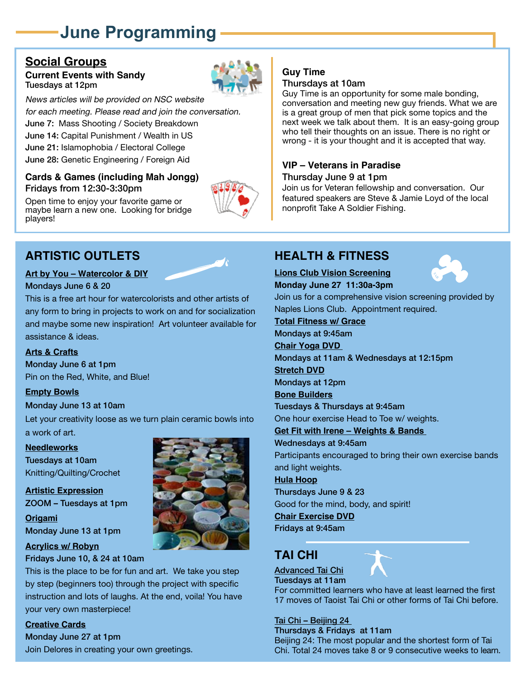## **June Programming**

## **Social Groups**

#### **Current Events with Sandy** Tuesdays at 12pm



News articles will be provided on NSC website for each meeting. Please read and join the conversation. June 7: Mass Shooting / Society Breakdown June 14: Capital Punishment / Wealth in US June 21: Islamophobia / Electoral College June 28: Genetic Engineering / Foreign Aid

#### **Cards & Games (including Mah Jongg)** Fridays from 12:30-3:30pm

Open time to enjoy your favorite game or maybe learn a new one. Looking for bridge



#### **Guy Time** Thursdays at 10am

Guy Time is an opportunity for some male bonding, conversation and meeting new guy friends. What we are is a great group of men that pick some topics and the next week we talk about them. It is an easy-going group who tell their thoughts on an issue. There is no right or wrong - it is your thought and it is accepted that way.

### **VIP – Veterans in Paradise**

#### Thursday June 9 at 1pm

Join us for Veteran fellowship and conversation. Our featured speakers are Steve & Jamie Loyd of the local nonprofit Take A Soldier Fishing.

## **ARTISTIC OUTLETS**

#### **Art by You – Watercolor & DIY**

#### Mondays June 6 & 20

This is a free art hour for watercolorists and other artists of any form to bring in projects to work on and for socialization and maybe some new inspiration! Art volunteer available for assistance & ideas.

#### **Arts & Crafts**

players!

Monday June 6 at 1pm Pin on the Red, White, and Blue!

**Empty Bowls** Monday June 13 at 10am

Let your creativity loose as we turn plain ceramic bowls into a work of art.

#### **Needleworks**

Tuesdays at 10am Knitting/Quilting/Crochet

**Artistic Expression** ZOOM – Tuesdays at 1pm

**Origami** Monday June 13 at 1pm



#### Fridays June 10, & 24 at 10am

This is the place to be for fun and art. We take you step by step (beginners too) through the project with specific instruction and lots of laughs. At the end, voila! You have your very own masterpiece!

#### **Creative Cards**

Monday June 27 at 1pm Join Delores in creating your own greetings.



## **HEALTH & FITNESS**

**Lions Club Vision Screening**



**Monday June 27 11:30a-3pm** Join us for a comprehensive vision screening provided by Naples Lions Club. Appointment required.

#### **Total Fitness w/ Grace**

Mondays at 9:45am **Chair Yoga DVD**  Mondays at 11am & Wednesdays at 12:15pm

**Stretch DVD**

Mondays at 12pm

**Bone Builders** Tuesdays & Thursdays at 9:45am

One hour exercise Head to Toe w/ weights.

**Get Fit with Irene – Weights & Bands** 

Wednesdays at 9:45am Participants encouraged to bring their own exercise bands and light weights.

#### **Hula Hoop** Thursdays June 9 & 23 Good for the mind, body, and spirit!

**Chair Exercise DVD**

Fridays at 9:45am

## **TAI CHI**

Advanced Tai Chi Tuesdays at 11am

For committed learners who have at least learned the first 17 moves of Taoist Tai Chi or other forms of Tai Chi before.

Tai Chi – Beijing 24 Thursdays & Fridays at 11am Beijing 24: The most popular and the shortest form of Tai Chi. Total 24 moves take 8 or 9 consecutive weeks to learn.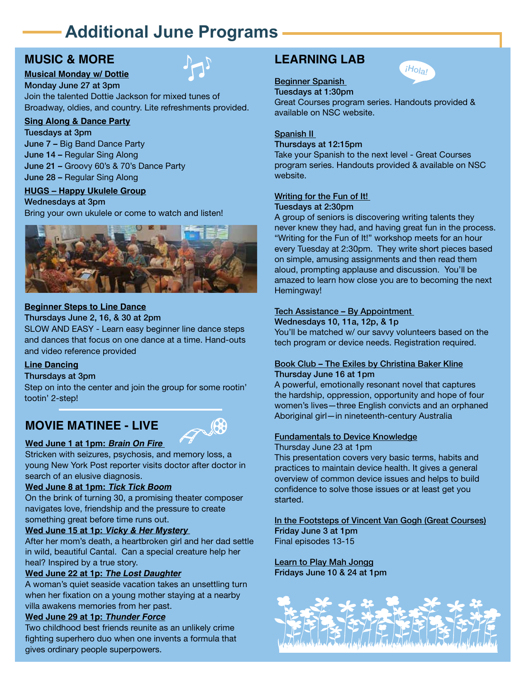## **Additional June Programs**

## **MUSIC & MORE**

#### **Musical Monday w/ Dottie**

Monday June 27 at 3pm Join the talented Dottie Jackson for mixed tunes of Broadway, oldies, and country. Lite refreshments provided.

#### **Sing Along & Dance Party**

Tuesdays at 3pm June 7 – Big Band Dance Party June 14 – Regular Sing Along June 21 – Groovy 60's & 70's Dance Party June 28 – Regular Sing Along

#### **HUGS – Happy Ukulele Group**

Wednesdays at 3pm Bring your own ukulele or come to watch and listen!



#### **Beginner Steps to Line Dance**

Thursdays June 2, 16, & 30 at 2pm

SLOW AND EASY - Learn easy beginner line dance steps and dances that focus on one dance at a time. Hand-outs and video reference provided

#### **Line Dancing**

#### Thursdays at 3pm

Step on into the center and join the group for some rootin' tootin' 2-step!

## **MOVIE MATINEE - LIVE**



#### **Wed June 1 at 1pm: Brain On Fire**

Stricken with seizures, psychosis, and memory loss, a young New York Post reporter visits doctor after doctor in search of an elusive diagnosis.

#### **Wed June 8 at 1pm: Tick Tick Boom**

On the brink of turning 30, a promising theater composer navigates love, friendship and the pressure to create something great before time runs out.

#### **Wed June 15 at 1p: Vicky & Her Mystery**

After her mom's death, a heartbroken girl and her dad settle in wild, beautiful Cantal. Can a special creature help her heal? Inspired by a true story.

#### **Wed June 22 at 1p: The Lost Daughter**

A woman's quiet seaside vacation takes an unsettling turn when her fixation on a young mother staying at a nearby villa awakens memories from her past.

#### **Wed June 29 at 1p: Thunder Force**

Two childhood best friends reunite as an unlikely crime fighting superhero duo when one invents a formula that gives ordinary people superpowers.

## **LEARNING LAB**

### Beginner Spanish

Tuesdays at 1:30pm

Great Courses program series. Handouts provided & available on NSC website.

#### Spanish II

Thursdays at 12:15pm

Take your Spanish to the next level - Great Courses program series. Handouts provided & available on NSC website.

#### Writing for the Fun of It!

Tuesdays at 2:30pm

A group of seniors is discovering writing talents they never knew they had, and having great fun in the process. "Writing for the Fun of It!" workshop meets for an hour every Tuesday at 2:30pm. They write short pieces based on simple, amusing assignments and then read them aloud, prompting applause and discussion. You'll be amazed to learn how close you are to becoming the next Hemingway!

#### Tech Assistance – By Appointment

Wednesdays 10, 11a, 12p, & 1p You'll be matched w/ our savvy volunteers based on the tech program or device needs. Registration required.

#### Book Club – The Exiles by Christina Baker Kline Thursday June 16 at 1pm

A powerful, emotionally resonant novel that captures the hardship, oppression, opportunity and hope of four women's lives—three English convicts and an orphaned Aboriginal girl—in nineteenth-century Australia

#### Fundamentals to Device Knowledge

Thursday June 23 at 1pm

This presentation covers very basic terms, habits and practices to maintain device health. It gives a general overview of common device issues and helps to build confidence to solve those issues or at least get you started.

#### In the Footsteps of Vincent Van Gogh (Great Courses) Friday June 3 at 1pm

Final episodes 13-15

Learn to Play Mah Jongg Fridays June 10 & 24 at 1pm